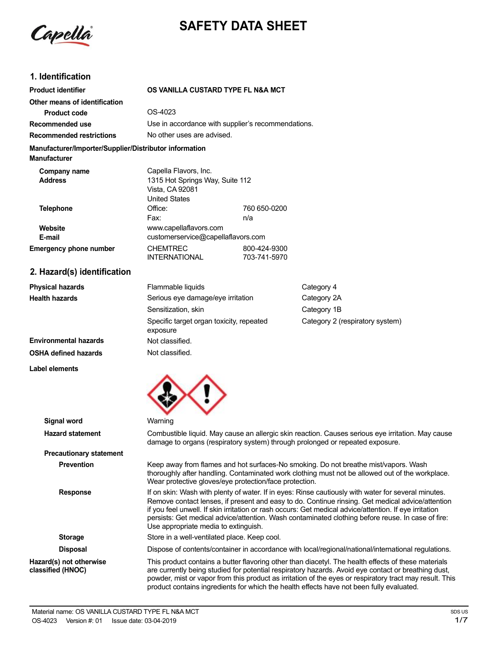Capella

# **SAFETY DATA SHEET**

# **1. Identification**

**Label elements**

| <b>Product identifier</b>                                                     | OS VANILLA CUSTARD TYPE FL N&A MCT                                                                  |                              |                                 |
|-------------------------------------------------------------------------------|-----------------------------------------------------------------------------------------------------|------------------------------|---------------------------------|
| Other means of identification                                                 |                                                                                                     |                              |                                 |
| <b>Product code</b>                                                           | OS-4023                                                                                             |                              |                                 |
| Recommended use                                                               | Use in accordance with supplier's recommendations.                                                  |                              |                                 |
| <b>Recommended restrictions</b>                                               | No other uses are advised.                                                                          |                              |                                 |
| Manufacturer/Importer/Supplier/Distributor information<br><b>Manufacturer</b> |                                                                                                     |                              |                                 |
| Company name<br><b>Address</b>                                                | Capella Flavors, Inc.<br>1315 Hot Springs Way, Suite 112<br>Vista, CA 92081<br><b>United States</b> |                              |                                 |
| <b>Telephone</b>                                                              | Office:<br>Fax:                                                                                     | 760 650-0200<br>n/a          |                                 |
| Website<br>E-mail                                                             | www.capellaflavors.com<br>customerservice@capellaflavors.com                                        |                              |                                 |
| <b>Emergency phone number</b>                                                 | <b>CHEMTREC</b><br><b>INTERNATIONAL</b>                                                             | 800-424-9300<br>703-741-5970 |                                 |
| 2. Hazard(s) identification                                                   |                                                                                                     |                              |                                 |
| <b>Physical hazards</b>                                                       | Flammable liquids                                                                                   |                              | Category 4                      |
| <b>Health hazards</b>                                                         | Serious eye damage/eye irritation                                                                   |                              | Category 2A                     |
|                                                                               | Sensitization, skin                                                                                 |                              | Category 1B                     |
|                                                                               | Specific target organ toxicity, repeated<br>exposure                                                |                              | Category 2 (respiratory system) |
| <b>Environmental hazards</b>                                                  | Not classified.                                                                                     |                              |                                 |
| <b>OSHA defined hazards</b>                                                   | Not classified.                                                                                     |                              |                                 |



| <b>Signal word</b>                           | Warning                                                                                                                                                                                                                                                                                                                                                                                                                                                        |
|----------------------------------------------|----------------------------------------------------------------------------------------------------------------------------------------------------------------------------------------------------------------------------------------------------------------------------------------------------------------------------------------------------------------------------------------------------------------------------------------------------------------|
| <b>Hazard statement</b>                      | Combustible liquid. May cause an allergic skin reaction. Causes serious eye irritation. May cause<br>damage to organs (respiratory system) through prolonged or repeated exposure.                                                                                                                                                                                                                                                                             |
| <b>Precautionary statement</b>               |                                                                                                                                                                                                                                                                                                                                                                                                                                                                |
| <b>Prevention</b>                            | Keep away from flames and hot surfaces-No smoking. Do not breathe mist/vapors. Wash<br>thoroughly after handling. Contaminated work clothing must not be allowed out of the workplace.<br>Wear protective gloves/eye protection/face protection.                                                                                                                                                                                                               |
| <b>Response</b>                              | If on skin: Wash with plenty of water. If in eyes: Rinse cautiously with water for several minutes.<br>Remove contact lenses, if present and easy to do. Continue rinsing. Get medical advice/attention<br>if you feel unwell. If skin irritation or rash occurs: Get medical advice/attention. If eye irritation<br>persists: Get medical advice/attention. Wash contaminated clothing before reuse. In case of fire:<br>Use appropriate media to extinguish. |
| <b>Storage</b>                               | Store in a well-ventilated place. Keep cool.                                                                                                                                                                                                                                                                                                                                                                                                                   |
| <b>Disposal</b>                              | Dispose of contents/container in accordance with local/regional/national/international regulations.                                                                                                                                                                                                                                                                                                                                                            |
| Hazard(s) not otherwise<br>classified (HNOC) | This product contains a butter flavoring other than diacetyl. The health effects of these materials<br>are currently being studied for potential respiratory hazards. Avoid eye contact or breathing dust,<br>powder, mist or vapor from this product as irritation of the eyes or respiratory tract may result. This<br>product contains ingredients for which the health effects have not been fully evaluated.                                              |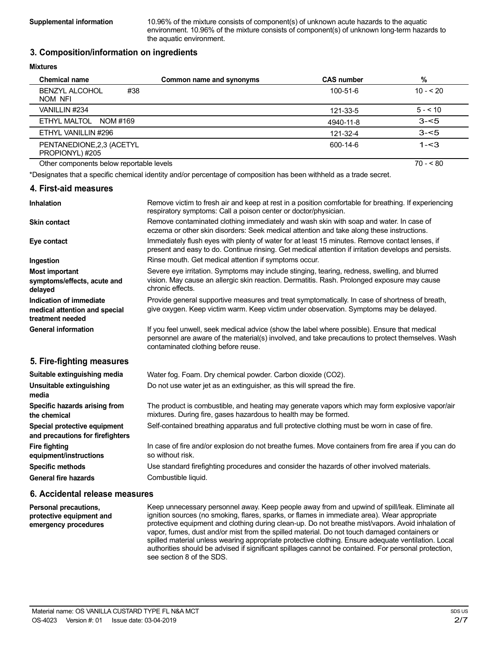**Supplemental information** 10.96% of the mixture consists of component(s) of unknown acute hazards to the aquatic environment. 10.96% of the mixture consists of component(s) of unknown long-term hazards to the aquatic environment.

# **3. Composition/information on ingredients**

#### **Mixtures**

| <b>Chemical name</b>                         | Common name and synonyms | <b>CAS number</b> | %         |
|----------------------------------------------|--------------------------|-------------------|-----------|
| <b>BENZYL ALCOHOL</b><br>#38<br>NOM NFI      |                          | 100-51-6          | $10 - 20$ |
| VANILLIN #234                                |                          | 121-33-5          | $5 - 10$  |
| ETHYL MALTOL NOM #169                        |                          | 4940-11-8         | $3 - 5$   |
| ETHYL VANILLIN #296                          |                          | 121-32-4          | $3 - 5$   |
| PENTANEDIONE, 2,3 (ACETYL<br>PROPIONYL) #205 |                          | 600-14-6          | $1 - 3$   |
| Other components below reportable levels     |                          |                   | $70 - 80$ |

\*Designates that a specific chemical identity and/or percentage of composition has been withheld as a trade secret.

#### **4. First-aid measures**

| <b>Inhalation</b>                                                            | Remove victim to fresh air and keep at rest in a position comfortable for breathing. If experiencing<br>respiratory symptoms: Call a poison center or doctor/physician.                                                                  |
|------------------------------------------------------------------------------|------------------------------------------------------------------------------------------------------------------------------------------------------------------------------------------------------------------------------------------|
| <b>Skin contact</b>                                                          | Remove contaminated clothing immediately and wash skin with soap and water. In case of<br>eczema or other skin disorders: Seek medical attention and take along these instructions.                                                      |
| Eye contact                                                                  | Immediately flush eyes with plenty of water for at least 15 minutes. Remove contact lenses, if<br>present and easy to do. Continue rinsing. Get medical attention if irritation develops and persists.                                   |
| Ingestion                                                                    | Rinse mouth. Get medical attention if symptoms occur.                                                                                                                                                                                    |
| <b>Most important</b><br>symptoms/effects, acute and<br>delayed              | Severe eye irritation. Symptoms may include stinging, tearing, redness, swelling, and blurred<br>vision. May cause an allergic skin reaction. Dermatitis. Rash. Prolonged exposure may cause<br>chronic effects.                         |
| Indication of immediate<br>medical attention and special<br>treatment needed | Provide general supportive measures and treat symptomatically. In case of shortness of breath,<br>give oxygen. Keep victim warm. Keep victim under observation. Symptoms may be delayed.                                                 |
| <b>General information</b>                                                   | If you feel unwell, seek medical advice (show the label where possible). Ensure that medical<br>personnel are aware of the material(s) involved, and take precautions to protect themselves. Wash<br>contaminated clothing before reuse. |
| 5. Fire-fighting measures                                                    |                                                                                                                                                                                                                                          |
| Suitable extinguishing media                                                 | Water fog. Foam. Dry chemical powder. Carbon dioxide (CO2).                                                                                                                                                                              |
| Unsuitable extinguishing<br>media                                            | Do not use water jet as an extinguisher, as this will spread the fire.                                                                                                                                                                   |
| Specific hazards arising from<br>the chemical                                | The product is combustible, and heating may generate vapors which may form explosive vapor/air<br>mixtures. During fire, gases hazardous to health may be formed.                                                                        |
| Special protective equipment<br>and precautions for firefighters             | Self-contained breathing apparatus and full protective clothing must be worn in case of fire.                                                                                                                                            |
| <b>Fire fighting</b><br>equipment/instructions                               | In case of fire and/or explosion do not breathe fumes. Move containers from fire area if you can do<br>so without risk.                                                                                                                  |
| <b>Specific methods</b>                                                      | Use standard firefighting procedures and consider the hazards of other involved materials.                                                                                                                                               |

**General fire hazards**

**Personal precautions, protective equipment and emergency procedures**

# **6. Accidental release measures**

Combustible liquid.

Keep unnecessary personnel away. Keep people away from and upwind of spill/leak. Eliminate all ignition sources (no smoking, flares, sparks, or flames in immediate area). Wear appropriate protective equipment and clothing during clean-up. Do not breathe mist/vapors. Avoid inhalation of vapor, fumes, dust and/or mist from the spilled material. Do not touch damaged containers or spilled material unless wearing appropriate protective clothing. Ensure adequate ventilation. Local authorities should be advised if significant spillages cannot be contained. For personal protection, see section 8 of the SDS.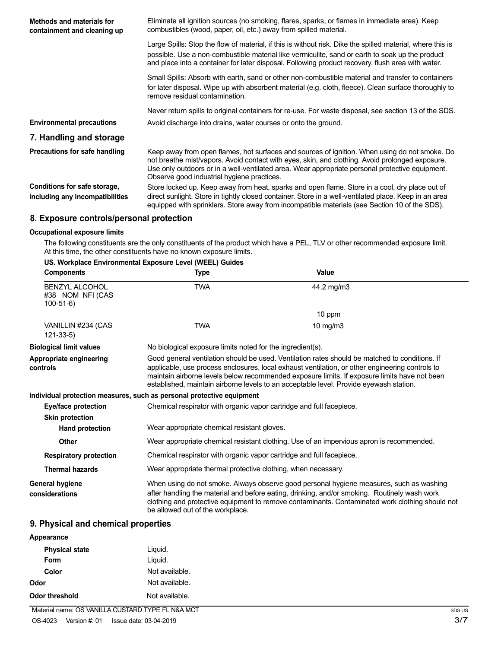| Methods and materials for<br>containment and cleaning up        | Eliminate all ignition sources (no smoking, flares, sparks, or flames in immediate area). Keep<br>combustibles (wood, paper, oil, etc.) away from spilled material.                                                                                                                                                                               |
|-----------------------------------------------------------------|---------------------------------------------------------------------------------------------------------------------------------------------------------------------------------------------------------------------------------------------------------------------------------------------------------------------------------------------------|
|                                                                 | Large Spills: Stop the flow of material, if this is without risk. Dike the spilled material, where this is<br>possible. Use a non-combustible material like vermiculite, sand or earth to soak up the product<br>and place into a container for later disposal. Following product recovery, flush area with water.                                |
|                                                                 | Small Spills: Absorb with earth, sand or other non-combustible material and transfer to containers<br>for later disposal. Wipe up with absorbent material (e.g. cloth, fleece). Clean surface thoroughly to<br>remove residual contamination.                                                                                                     |
|                                                                 | Never return spills to original containers for re-use. For waste disposal, see section 13 of the SDS.                                                                                                                                                                                                                                             |
| <b>Environmental precautions</b>                                | Avoid discharge into drains, water courses or onto the ground.                                                                                                                                                                                                                                                                                    |
| 7. Handling and storage                                         |                                                                                                                                                                                                                                                                                                                                                   |
| Precautions for safe handling                                   | Keep away from open flames, hot surfaces and sources of ignition. When using do not smoke. Do<br>not breathe mist/vapors. Avoid contact with eyes, skin, and clothing. Avoid prolonged exposure.<br>Use only outdoors or in a well-ventilated area. Wear appropriate personal protective equipment.<br>Observe good industrial hygiene practices. |
| Conditions for safe storage,<br>including any incompatibilities | Store locked up. Keep away from heat, sparks and open flame. Store in a cool, dry place out of<br>direct sunlight. Store in tightly closed container. Store in a well-ventilated place. Keep in an area<br>equipped with sprinklers. Store away from incompatible materials (see Section 10 of the SDS).                                          |

# **8. Exposure controls/personal protection**

# **Occupational exposure limits**

The following constituents are the only constituents of the product which have a PEL, TLV or other recommended exposure limit. At this time, the other constituents have no known exposure limits.

# **US. Workplace Environmental Exposure Level (WEEL) Guides**

| <b>Components</b>                                       | <b>Type</b>                                                           | <b>Value</b>                                                                                                                                                                                                                                                                                                                                                                                |
|---------------------------------------------------------|-----------------------------------------------------------------------|---------------------------------------------------------------------------------------------------------------------------------------------------------------------------------------------------------------------------------------------------------------------------------------------------------------------------------------------------------------------------------------------|
| <b>BENZYL ALCOHOL</b><br>#38 NOM NFI (CAS<br>$100-51-6$ | <b>TWA</b>                                                            | 44.2 mg/m3                                                                                                                                                                                                                                                                                                                                                                                  |
|                                                         |                                                                       | 10 ppm                                                                                                                                                                                                                                                                                                                                                                                      |
| VANILLIN #234 (CAS<br>$121 - 33 - 5$                    | <b>TWA</b>                                                            | 10 mg/m $3$                                                                                                                                                                                                                                                                                                                                                                                 |
| <b>Biological limit values</b>                          | No biological exposure limits noted for the ingredient(s).            |                                                                                                                                                                                                                                                                                                                                                                                             |
| Appropriate engineering<br>controls                     |                                                                       | Good general ventilation should be used. Ventilation rates should be matched to conditions. If<br>applicable, use process enclosures, local exhaust ventilation, or other engineering controls to<br>maintain airborne levels below recommended exposure limits. If exposure limits have not been<br>established, maintain airborne levels to an acceptable level. Provide eyewash station. |
|                                                         | Individual protection measures, such as personal protective equipment |                                                                                                                                                                                                                                                                                                                                                                                             |
| Eye/face protection                                     | Chemical respirator with organic vapor cartridge and full facepiece.  |                                                                                                                                                                                                                                                                                                                                                                                             |
| <b>Skin protection</b>                                  |                                                                       |                                                                                                                                                                                                                                                                                                                                                                                             |
| <b>Hand protection</b>                                  | Wear appropriate chemical resistant gloves.                           |                                                                                                                                                                                                                                                                                                                                                                                             |
| <b>Other</b>                                            |                                                                       | Wear appropriate chemical resistant clothing. Use of an impervious apron is recommended.                                                                                                                                                                                                                                                                                                    |
| <b>Respiratory protection</b>                           | Chemical respirator with organic vapor cartridge and full facepiece.  |                                                                                                                                                                                                                                                                                                                                                                                             |
| <b>Thermal hazards</b>                                  | Wear appropriate thermal protective clothing, when necessary.         |                                                                                                                                                                                                                                                                                                                                                                                             |
| <b>General hygiene</b><br>considerations                | be allowed out of the workplace.                                      | When using do not smoke. Always observe good personal hygiene measures, such as washing<br>after handling the material and before eating, drinking, and/or smoking. Routinely wash work<br>clothing and protective equipment to remove contaminants. Contaminated work clothing should not                                                                                                  |

# **9. Physical and chemical properties**

| Appearance            |                |
|-----------------------|----------------|
| <b>Physical state</b> | Liquid.        |
| Form                  | Liquid.        |
| Color                 | Not available. |
| Odor                  | Not available. |
| Odor threshold        | Not available. |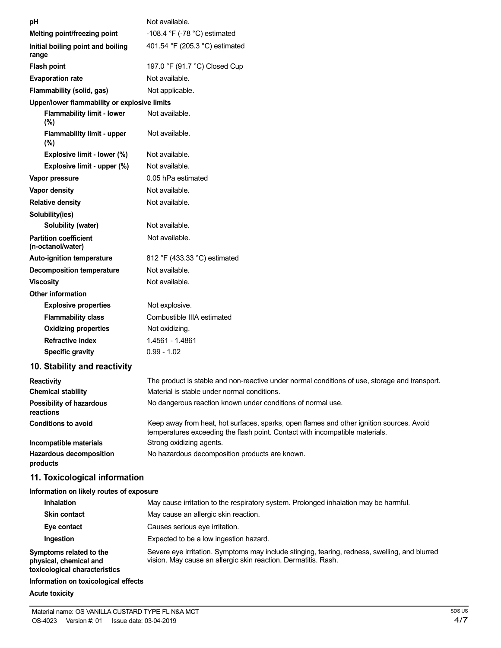| рH                                                | Not available.                                                                                                                                                           |
|---------------------------------------------------|--------------------------------------------------------------------------------------------------------------------------------------------------------------------------|
| Melting point/freezing point                      | -108.4 $\degree$ F (-78 $\degree$ C) estimated                                                                                                                           |
| Initial boiling point and boiling<br>range        | 401.54 °F (205.3 °C) estimated                                                                                                                                           |
| <b>Flash point</b>                                | 197.0 °F (91.7 °C) Closed Cup                                                                                                                                            |
| <b>Evaporation rate</b>                           | Not available.                                                                                                                                                           |
| Flammability (solid, gas)                         | Not applicable.                                                                                                                                                          |
| Upper/lower flammability or explosive limits      |                                                                                                                                                                          |
| <b>Flammability limit - lower</b><br>(%)          | Not available.                                                                                                                                                           |
| Flammability limit - upper<br>(%)                 | Not available.                                                                                                                                                           |
| Explosive limit - lower (%)                       | Not available.                                                                                                                                                           |
| Explosive limit - upper (%)                       | Not available.                                                                                                                                                           |
| Vapor pressure                                    | 0.05 hPa estimated                                                                                                                                                       |
| <b>Vapor density</b>                              | Not available.                                                                                                                                                           |
| <b>Relative density</b>                           | Not available.                                                                                                                                                           |
| Solubility(ies)                                   |                                                                                                                                                                          |
| Solubility (water)                                | Not available.                                                                                                                                                           |
| <b>Partition coefficient</b><br>(n-octanol/water) | Not available.                                                                                                                                                           |
| <b>Auto-ignition temperature</b>                  | 812 °F (433.33 °C) estimated                                                                                                                                             |
| <b>Decomposition temperature</b>                  | Not available.                                                                                                                                                           |
| <b>Viscosity</b>                                  | Not available.                                                                                                                                                           |
| <b>Other information</b>                          |                                                                                                                                                                          |
| <b>Explosive properties</b>                       | Not explosive.                                                                                                                                                           |
| <b>Flammability class</b>                         | Combustible IIIA estimated                                                                                                                                               |
| <b>Oxidizing properties</b>                       | Not oxidizing.                                                                                                                                                           |
| <b>Refractive index</b>                           | 1.4561 - 1.4861                                                                                                                                                          |
| <b>Specific gravity</b>                           | $0.99 - 1.02$                                                                                                                                                            |
| 10. Stability and reactivity                      |                                                                                                                                                                          |
| <b>Reactivity</b>                                 | The product is stable and non-reactive under normal conditions of use, storage and transport.                                                                            |
| <b>Chemical stability</b>                         | Material is stable under normal conditions.                                                                                                                              |
| Possibility of hazardous<br>reactions             | No dangerous reaction known under conditions of normal use.                                                                                                              |
| <b>Conditions to avoid</b>                        | Keep away from heat, hot surfaces, sparks, open flames and other ignition sources. Avoid<br>temperatures exceeding the flash point. Contact with incompatible materials. |
| Incompatible materials                            | Strong oxidizing agents.                                                                                                                                                 |
| <b>Hazardous decomposition</b><br>products        | No hazardous decomposition products are known.                                                                                                                           |
| 11. Toxicological information                     |                                                                                                                                                                          |
| Information on likely routes of exposure          |                                                                                                                                                                          |
| <b>Inhalation</b>                                 | May cause irritation to the respiratory system. Prolonged inhalation may be harmful.                                                                                     |
| <b>Skin contact</b>                               | May cause an allergic skin reaction.                                                                                                                                     |
| Eye contact                                       | Causes serious eye irritation.                                                                                                                                           |
| Ingestion                                         | Expected to be a low ingestion hazard.                                                                                                                                   |
| Symptoms related to the<br>physical, chemical and | Severe eye irritation. Symptoms may include stinging, tearing, redness, swelling, and blurred<br>vision. May cause an allergic skin reaction. Dermatitis. Rash.          |

**physical, chemical and toxicological characteristics**

# **Information on toxicological effects**

# **Acute toxicity**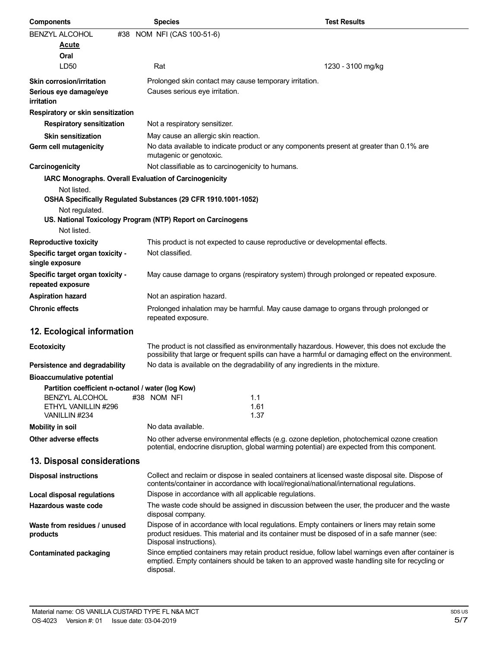| <b>Components</b>                                      | <b>Species</b>                                                                                                                                                                                                         | <b>Test Results</b> |
|--------------------------------------------------------|------------------------------------------------------------------------------------------------------------------------------------------------------------------------------------------------------------------------|---------------------|
| <b>BENZYL ALCOHOL</b>                                  | #38 NOM NFI (CAS 100-51-6)                                                                                                                                                                                             |                     |
| <u>Acute</u>                                           |                                                                                                                                                                                                                        |                     |
| Oral                                                   |                                                                                                                                                                                                                        |                     |
| LD <sub>50</sub>                                       | Rat                                                                                                                                                                                                                    | 1230 - 3100 mg/kg   |
| <b>Skin corrosion/irritation</b>                       | Prolonged skin contact may cause temporary irritation.                                                                                                                                                                 |                     |
| Serious eye damage/eye<br>irritation                   | Causes serious eye irritation.                                                                                                                                                                                         |                     |
| Respiratory or skin sensitization                      |                                                                                                                                                                                                                        |                     |
| <b>Respiratory sensitization</b>                       | Not a respiratory sensitizer.                                                                                                                                                                                          |                     |
| <b>Skin sensitization</b>                              | May cause an allergic skin reaction.                                                                                                                                                                                   |                     |
| Germ cell mutagenicity                                 | No data available to indicate product or any components present at greater than 0.1% are<br>mutagenic or genotoxic.                                                                                                    |                     |
| Carcinogenicity                                        | Not classifiable as to carcinogenicity to humans.                                                                                                                                                                      |                     |
| IARC Monographs. Overall Evaluation of Carcinogenicity |                                                                                                                                                                                                                        |                     |
| Not listed.                                            |                                                                                                                                                                                                                        |                     |
|                                                        | OSHA Specifically Regulated Substances (29 CFR 1910.1001-1052)                                                                                                                                                         |                     |
| Not regulated.                                         | US. National Toxicology Program (NTP) Report on Carcinogens                                                                                                                                                            |                     |
| Not listed.                                            |                                                                                                                                                                                                                        |                     |
| <b>Reproductive toxicity</b>                           | This product is not expected to cause reproductive or developmental effects.                                                                                                                                           |                     |
| Specific target organ toxicity -                       | Not classified.                                                                                                                                                                                                        |                     |
| single exposure                                        |                                                                                                                                                                                                                        |                     |
| Specific target organ toxicity -<br>repeated exposure  | May cause damage to organs (respiratory system) through prolonged or repeated exposure.                                                                                                                                |                     |
| <b>Aspiration hazard</b>                               | Not an aspiration hazard.                                                                                                                                                                                              |                     |
| <b>Chronic effects</b>                                 | Prolonged inhalation may be harmful. May cause damage to organs through prolonged or<br>repeated exposure.                                                                                                             |                     |
| 12. Ecological information                             |                                                                                                                                                                                                                        |                     |
| <b>Ecotoxicity</b>                                     | The product is not classified as environmentally hazardous. However, this does not exclude the<br>possibility that large or frequent spills can have a harmful or damaging effect on the environment.                  |                     |
| Persistence and degradability                          | No data is available on the degradability of any ingredients in the mixture.                                                                                                                                           |                     |
| <b>Bioaccumulative potential</b>                       |                                                                                                                                                                                                                        |                     |
| Partition coefficient n-octanol / water (log Kow)      |                                                                                                                                                                                                                        |                     |
| <b>BENZYL ALCOHOL</b>                                  | #38 NOM NFI<br>1.1                                                                                                                                                                                                     |                     |
| ETHYL VANILLIN #296                                    | 1.61                                                                                                                                                                                                                   |                     |
| VANILLIN #234                                          | 1.37                                                                                                                                                                                                                   |                     |
| <b>Mobility in soil</b>                                | No data available.                                                                                                                                                                                                     |                     |
| Other adverse effects                                  | No other adverse environmental effects (e.g. ozone depletion, photochemical ozone creation<br>potential, endocrine disruption, global warming potential) are expected from this component.                             |                     |
| 13. Disposal considerations                            |                                                                                                                                                                                                                        |                     |
| <b>Disposal instructions</b>                           | Collect and reclaim or dispose in sealed containers at licensed waste disposal site. Dispose of<br>contents/container in accordance with local/regional/national/international regulations.                            |                     |
| Local disposal regulations                             | Dispose in accordance with all applicable regulations.                                                                                                                                                                 |                     |
| Hazardous waste code                                   | The waste code should be assigned in discussion between the user, the producer and the waste<br>disposal company.                                                                                                      |                     |
| Waste from residues / unused<br>products               | Dispose of in accordance with local regulations. Empty containers or liners may retain some<br>product residues. This material and its container must be disposed of in a safe manner (see:<br>Disposal instructions). |                     |
| <b>Contaminated packaging</b>                          | Since emptied containers may retain product residue, follow label warnings even after container is<br>emptied. Empty containers should be taken to an approved waste handling site for recycling or<br>disposal.       |                     |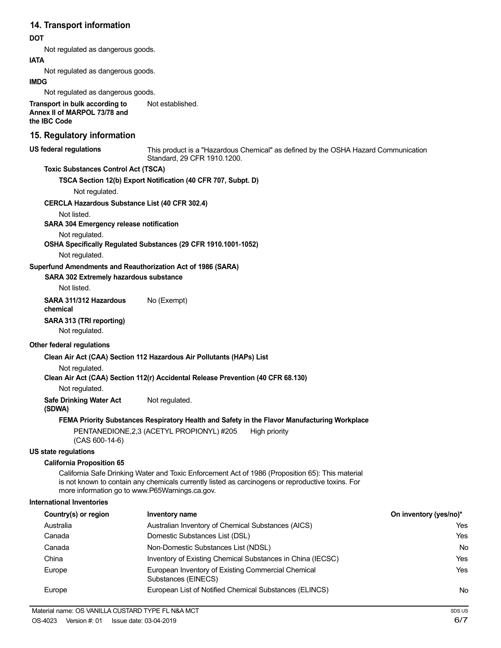# **14. Transport information**

# **DOT**

Not regulated as dangerous goods.

**IATA**

Not regulated as dangerous goods.

# **IMDG**

Not regulated as dangerous goods.

**Transport in bulk according to Annex II of MARPOL 73/78 and the IBC Code** Not established.

# **15. Regulatory information**

**US federal regulations**

This product is a "Hazardous Chemical" as defined by the OSHA Hazard Communication Standard, 29 CFR 1910.1200.

# **Toxic Substances Control Act (TSCA)**

**TSCA Section 12(b) Export Notification (40 CFR 707, Subpt. D)**

Not regulated.

#### **CERCLA Hazardous Substance List (40 CFR 302.4)**

Not listed.

#### **SARA 304 Emergency release notification**

Not regulated.

**OSHA Specifically Regulated Substances (29 CFR 1910.1001-1052)**

Not regulated.

# **Superfund Amendments and Reauthorization Act of 1986 (SARA)**

# **SARA 302 Extremely hazardous substance**

Not listed.

**SARA 311/312 Hazardous** No (Exempt) **chemical**

# **SARA 313 (TRI reporting)**

Not regulated.

#### **Other federal regulations**

# **Clean Air Act (CAA) Section 112 Hazardous Air Pollutants (HAPs) List**

Not regulated.

**Clean Air Act (CAA) Section 112(r) Accidental Release Prevention (40 CFR 68.130)**

Not regulated.

**Safe Drinking Water Act** Not regulated.

```
(SDWA)
```
# **FEMA Priority Substances Respiratory Health and Safety in the Flavor Manufacturing Workplace**

PENTANEDIONE, 2,3 (ACETYL PROPIONYL) #205 High priority (CAS 600-14-6)

#### **US state regulations**

# **California Proposition 65**

California Safe Drinking Water and Toxic Enforcement Act of 1986 (Proposition 65): This material is not known to contain any chemicals currently listed as carcinogens or reproductive toxins. For more information go to www.P65Warnings.ca.gov.

#### **International Inventories**

| Country(s) or region | Inventory name                                                            | On inventory (yes/no)* |
|----------------------|---------------------------------------------------------------------------|------------------------|
| Australia            | Australian Inventory of Chemical Substances (AICS)                        | Yes                    |
| Canada               | Domestic Substances List (DSL)                                            | Yes                    |
| Canada               | Non-Domestic Substances List (NDSL)                                       | No                     |
| China                | Inventory of Existing Chemical Substances in China (IECSC)                | Yes                    |
| Europe               | European Inventory of Existing Commercial Chemical<br>Substances (EINECS) | Yes                    |
| Europe               | European List of Notified Chemical Substances (ELINCS)                    | No                     |